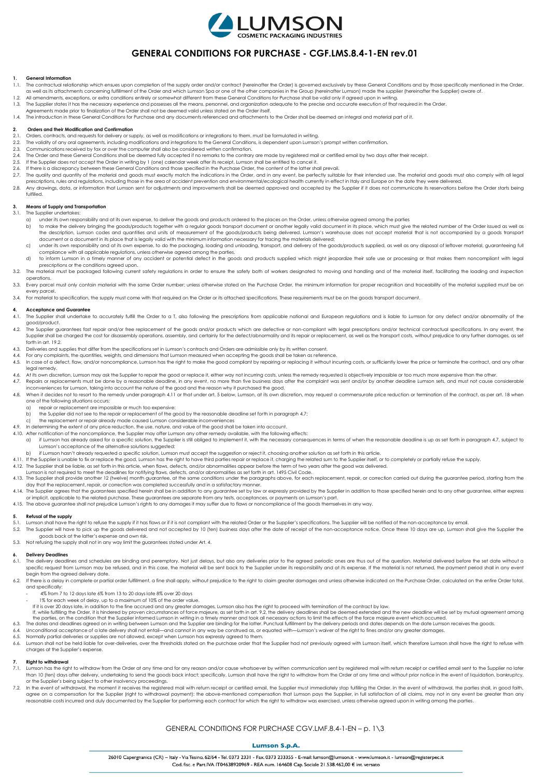

# **GENERAL CONDITIONS FOR PURCHASE - CGF.LMS.8.4-1-EN rev.01**

## **1. General Information**

- 1.1. The contractual relationship which ensues upon completion of the supply order and/or contract (hereinafter the Order) is governed exclusively by these General Conditions and by those specifically mentioned in the Orde
- 1.2. All amendments, exceptions, or extra conditions entirely or somewhat different from these General Conditions for Purchase shall be valid only if agreed upon in writing.
- 1.3. The Supplier states it has the necessary experience and possesses all the means, personnel, and organization adequate to the precise and accurate execution of that required in the Order.
- Agreements made prior to finalization of the Order shall not be deemed valid unless stated on the Order itself. 1.4. The introduction in these General Conditions for Purchase and any documents referenced and attachments to the Order shall be deemed an integral and material part of it.

### **2. Orders and their Modification and Confirmation**

- 2.1. Orders, contracts, and requests for delivery or supply, as well as modifications or integrations to them, must be formulated in writing.<br>2.2. The validity of any aral agreements including modifications and integration
- 2.2. The validity of any oral agreements, including modifications and integrations to the General Conditions, is dependent upon Lumson's prompt written confirmation.
- 2.3. Communications received by fax or over the computer shall also be considered written confirmation.<br>2.4. The Order and these General Conditions shall be deemed fully accepted if no remarks to the contrar
- 2.4. The Order and these General Conditions shall be deemed fully accepted if no remarks to the contrary are made by registered mail or certified email by two days after their receipt.
- 2.5. If the Supplier does not accept the Order in writing by 1 (one) calendar week after its receipt, Lumson shall be entitled to cancel it.<br>2.6. If there is a discrepancy between these General Conditions and those specifi
- 2.7. The quality and quantity of the material and goods must exactly match the indications in the Order, and in any event, be perfectly suitable for their intended use. The material and goods must also comply with all lega
- prescriptions, rules and regulations, including those in the area of accident prevention and environmental/ecological health currently in effect in Italy and Europe on the date they were delivered. 2.8. Any drawings, data, or information that Lumson sent for adjustments and improvements shall be deemed approved and accepted by the Supplier if it does not communicate its reservations before the Order starts being

# **3. Means of Supply and Transportation**

3.1. The Supplier undertakes:

fulfilled.

- 
- a) under its own responsibility and at its own expense, to deliver the goods and products ordered to the places on the Order, unless otherwise agreed among the parties<br>b) to make the delivery bringing the goods/products to the description, Lumson codes and quantities and units of measurement of the goods/products being delivered. Lumson's warehouse does not accept material that is not accompanied by a goods transport document or a document in its place that is legally valid with the minimum information necessary for tracing the materials delivered;
- c) under its own responsibility and at its own expense, to do the packaging, loading and unloading, transport, and delivery of the goods/products supplied, as well as any disposal of leftover material, guaranteeing full compliance with all applicable regulations, unless otherwise agreed among the parties.
- d) to inform Lumson in a timely manner of any accident or potential defect in the goods and products supplied which might jeopardize their safe use or processing or that makes them noncompliant with legal prescriptions or the conditions agreed upon. 3.2. The material must be packaged following current safety regulations in order to ensure the safety both of workers designated to moving and handling and of the material itself, facilitating the loading and inspection
- operations. 3.3. Every parcel must only contain material with the same Order number; unless otherwise stated on the Purchase Order, the minimum information for proper recognition and traceability of the material supplied must be on
- every parcel.
- 3.4. For material to specification, the supply must come with that required on the Order or its attached specifications. These requirements must be on the goods transport document

# **4. Acceptance and Guarantee**

- The Supplier shall undertake to accurately fulfill the Order to a T, also following the prescriptions from applicable national and European regulations and is liable to Lumson for any defect and/or abnormality of the good/product.
- 4.2. The Supplier guarantees fast repair and/or free replacement of the goods and/or products which are defective or non-compliant with legal prescriptions and/or technical contractual specifications. In any event, the Supplier shall be charged the cost for disassembly operations, assembly, and certainly for the defect/abnormality and its repair or replacement, as well as the transport costs, without prejudice to any further damages, as forth in art. 19.2.
- 4.3. Deliveries and supplies that differ from the specifications set in Lumson's contracts and Orders are admissible only by its written consent.<br>4.4. For any complaints, the quantities, weights, and dimensions that Lumson
- 4.5. In case of a defect, flaw, and/or noncompliance, Lumson has the right to make the good compliant by repairing or replacing it without incurring costs, or sufficiently lower the price or terminate the contract, and any legal remedy.
- At its own discretion, Lumson may ask the Supplier to repair the good or replace it, either way not incurring costs, unless the remedy requested is objectively impossible or too much more expensive than the other
- 4.7. Repairs or replacements must be done by a reasonable deadline, in any event, no more than five business days after the complaint was sent and/or by another deadline Lumson sets, and must not cause considerable
- inconveniences for Lumson, taking into account the nature of the good and the reason why it purchased the good. 4.8. When it decides not to resort to the remedy under paragraph 4.11 or that under art. 5 below, Lumson, at its own discretion, may request a commensurate price reduction or termination of the contract, as per art. 18 whe one of the following situations occurs:
	- a) repair or replacement are impossible or much too expensive:
	- the Supplier did not see to the repair or replacement of the good by the reasonable deadline set forth in paragraph 4.7;
- c) the replacement or repair already made caused Lumson considerable inconveniences
- In determining the extent of any price reduction, the use, nature, and value of the good shall be taken into account.
- 4.10. After notification of the noncompliance, the Supplier may offer Lumson any other remedy available, with the following effects: a) if Lumson has already asked for a specific solution, the Supplier is still obliged to implement it, with the necessary consequences in terms of when the reasonable deadline is up as set forth in paragraph 4.7, subject t
	- Lumson's acceptance of the alternative solutions suggested:
	- b) if Lumson hasn't already requested a specific solution, Lumson must accept the suggestion or reject it, choosing another solution as set forth in this article.
- 4.11. If the Supplier is unable to fix or replace the good, Lumson has the right to have third parties repair or replace it, charging the related sum to the Supplier itself, or to completely or partially refuse the supply.
- 
- Lumson is not required to meet the deadlines for notifying flaws, defects, and/or abnormalities as set forth in art. 1495 Civil Code.<br>4.13. The Supplier shall provide another 12 (twelve) month guarantee, at the same condit
- 4.14. The Supplier agrees that the guarantees specified herein shall be in addition to any guarantee set by law or expressly provided by the Supplier in addition to those specified herein and to any other guarantee, either
- 4.15. The above guarantee shall not prejudice Lumson's rights to any damages it may suffer due to flaws or noncompliance of the goods themselves in any way.

# **5. Refusal of the supply**

- 5.1. Lumson shall have the right to refuse the supply if it has flaws or if it is not compliant with the related Order or the Supplier's specifications. The Supplier will be notified of the non-acceptance by email.
- 5.2. The Supplier will have to pick up the goods delivered and not accepted by 10 (ten) business days after the date of receipt of the non-acceptance notice. Once these 10 days are up, Lumson shall give the Supplier the goods back at the latter's expense and own risk.
- 5.3. Not refusing the supply shall not in any way limit the guarantees stated under Art. 4.

## **6. Delivery Deadlines**

- 6.1. The delivery deadlines and schedules are binding and peremptory. Not just delays, but also any deliveries prior to the agreed periodic ones are thus out of the question. Material delivered before the set date without begin from the agreed delivery date.
- 6.2. If there is a delay in complete or partial order fulfillment, a fine shall apply, without prejudice to the right to claim greater damages and unless otherwise indicated on the Purchase Order, calculated on the entire and specifically:
	- 4% from 7 to 12 days late 6% from 13 to 20 days late 8% over 20 days
	- 1% for each week of delay, up to a maximum of 10% of the order value.
	-
- If it is over 20 days late, in addition to the fine accrued and any greater damages, Lumson also has the right to proceed with lemination of the contract by law. If is indered by proven circumstances of force majeure, as s
	-
- 
- 
- 6.5. Normally partial deliveries or supplies are not allowed, except when Lumson has expressly agreed to them.<br>6.6. Lumson shall not be held liable for over-deliveries, over the thresholds stated on the purchase order that charges at the Supplier's expense.

#### **7. Right to withdrawal**

- 7.1. Lumson has the right to withdraw from the Order at any time and for any reason and/or cause whatsoever by written communication sent by registered mail with return receipt or certified email sent to the Supplier no la than 10 (ten) days after delivery, undertaking to send the goods back intact; specifically, Lumson shall have the right to withdraw from the Order at any time and without prior notice in the event of liquidation, bankruptc
- . In the event of withdrawal, the moment it receives the registered mail with return receipt or certified email, the Supplier must immediately stop fulfilling the Order. In the event of withdrawal, the parties shall, in go reasonable costs incurred and duly documented by the Supplier for performing each contract for which the right to withdraw was exercised, unless otherwise agreed upon in writing among the parties.

# GENERAL CONDITIONS FOR PURCHASE CGV.LMF.8.4-1-EN – p. 1\3

### **Lumson S.p.A.**

26010 Capergnanica (CR) - Italy - Via Tesino. 62/64 - Tel. 0373 2331 - Fax. 0373 233355 - E-mail: lumson@lumson.it - www.lumson.it - lumson@registerpec.it Cod. fisc. e Part.IVA IT04638920969 - REA num. 164608 Cap. Sociale 21.538.462,00 € int. versato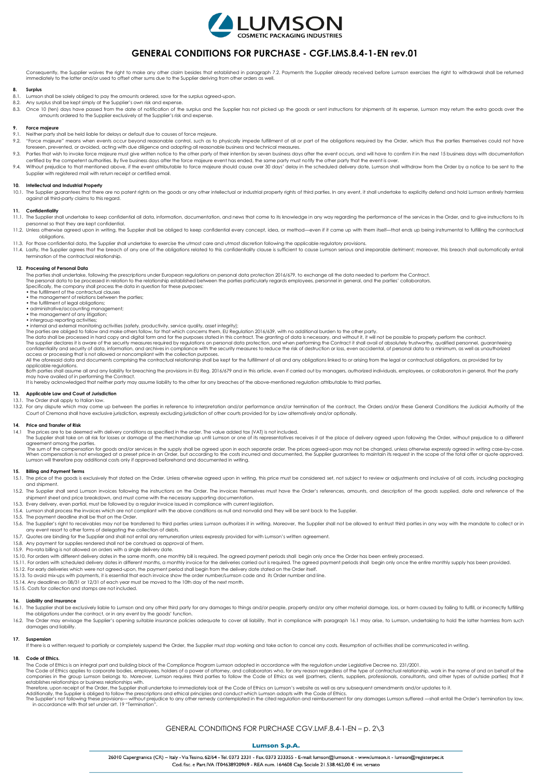

# **GENERAL CONDITIONS FOR PURCHASE - CGF.LMS.8.4-1-EN rev.01**

Consequently, the Supplier waives the right to make any other claim besides that established in paragraph 7.2. Payments the Supplier already received before Lumson exercises the right to withdrawal shall be returned immediately to the latter and/or used to offset other sums due to the Supplier deriving from other orders as well.

## **8. Surplus**

- 8.1. Lumson shall be solely obliged to pay the amounts ordered, save for the surplus agreed-upon.
- 
- 8.2. Any surplus shall be kept simply at the Supplier's own risk and expense.<br>8.3. Once 10 (ten) days have passed from the date of notification of the surplus and the Supplier has not picked up the goods or sent instructio amounts ordered to the Supplier exclusively at the Supplier's risk and expense.

#### **9. Force majeure**

- Neither party shall be held liable for delays or default due to causes of force majeure.
- 9.2. "Force majeure" means when events occur beyond reasonable control, such as to physically impede fulfillment of all or part of the obligations required by the Order, which thus the parties themselves could not have foreseen, prevented, or avoided, acting with due diligence and adopting all reasonable business and technical measures.
- 9.3. Parties that wish to invoke force majeure must give written notice to the other party of their intention by seven business days after the event occurs, and will have to confirm it in the next 15 business days with doc certified by the competent authorities. By five business days after the force majeure event has ended, the same party must notify the other party that the event is over.
- 9.4. Without prejudice to that mentioned above, if the event attributable to force majeure should cause over 30 days' delay in the scheduled delivery date, Lumson shall withdraw from the Order by a notice to be sent to the Supplier with registered mail with return receipt or certified email.

**10. Intellectual and Industrial Property**<br>10.1. The Supplier guarantees that there are no patent rights on the goods or any other intellectual or industrial property rights of third parties. In any event, it shall underta against all third-party claims to this regard.

#### **11. Confidentiality**

- 11.1. The Supplier shall undertake to keep confidential all data, information, documentation, and news that come to its knowledge in any way regarding the performance of the services in the Order, and to give instructions personnel so that they are kept confidential.
- 11.2. Unless otherwise agreed upon in writing, the Supplier shall be obliged to keep confidential every concept, idea, or method—even if it came up with them itself—that ends up being instrumental to fulfilling the contrac obligations.
- 11.3. For those confidential data, the Supplier shall undertake to exercise the utmost care and utmost discretion following the applicable regulatory provisions.
- 11.4. Lastly, the Supplier agrees that the breach of any one of the obligations related to this confidentiality clause is sufficient to cause Lumson serious and irreparable detriment; moreover, this breach shall automatica

#### **12. Processing of Personal Data**

The parties shall undertake, following the prescriptions under European regulations on personal data protection 2016/679, to exchange all the data needed to perform the Contract. The personal data to be processed in relation to the relationship established between the parties particularly regards employees, personnel in general, and the parties' collaborators. Specifically, the company shall process the data in question for these purposes:

- the fulfillment of the contractual clauses the management of relations between the parties; the fulfillment of legal obligations; administrative/accounting management;
- 
- 

\* ihe management of any litigation;<br>\* interapapement of any litigation;<br>\* interapapement of any litigation;<br>\* interapapement of any litigation; accidities (safety, productivity, service quality, asset integrity);<br>The parti

access or processing that is not allowed or noncompliant with the collection purposes.<br>All the aforesaid data and documents comprising the contractual relationship shall be kept for the fulfillment of all and any obligatio applicable regulations.

specifies that issues and any lightify for breaching the provisions in FU Rea. 2016/679 and in this article, even if carried out by mangaers, authorized individuals, employees, or collaborators in general, that the party may have availed of in performing the Contract.<br>It is hereby acknowledged that neither party may assume liability to the other for any breaches of the above-mentioned regulation attributable to third parties.

#### **13. Applicable Law and Court of Jurisdiction** 13.1. The Order shall apply to Italian law.

13.2. For any dispute which may come up between the parties in reference to interpretation and/or performance and/or termination of the contract, the Orders and/or these General Conditions the Judicial Authority of the Court of Cremona shall have exclusive jurisdiction, expressly excluding jurisdiction of other courts provided for by Law alternatively and/or optionally.

#### **14. Price and Transfer of Risk**

14.1 The prices are to be deemed with delivery conditions as specified in the order. The value added tax (VAT) is not included.<br>The Supplier shall take on all risk for losses or damage of the merchandise up until Lumson or agreement among the parties. The sum of the compensation for goods and/or services in the supply shall be agreed upon in each separate order. The prices agreed-upon may not be changed, unless otherwise expressly agreed in writing case-by-case.

When compensation is not envisaged at a preset price in an Order, but according to the costs incurred and documented, the Supplier guarantees to maintain its request in the scope of the total offer or quote approved.<br>Lumso

## **15. Billing and Payment Terms**

151. The price of the goods is exclusively that stated on the Order Unless otherwise agreed upon in writing this price must be considered set, not subject to review or adjustments and inclusive of all costs including packa and shipment.

- 15.2. The Supplier shall send Lumson invoices following the instructions on the Order. The invoices themselves must have the Order's references, amounts, and description of the goods supplied, date and reference of the shipment sheet and price breakdown, and must come with the necessary supporting documentation.
- 15.3. Every delivery, even partial, must be followed by a regular invoice issued in compliance with current legislation.
- 15.4. Lumson shall process the invoices which are not compliant with the above conditions as null and nonvalid and they will be sent back to the Supplier.
- 15.5. The payment deadline shall be that on the Order.
- is.c. The Supplier's right to receivables may not be transferred to third parties unless Lumson authorizes it in writing. Moreover, the Supplier shall not be allowed to entrust third parties in any way with the mandate to
- any event resort to other forms of delegating the collection of debts.<br>15.7. Quotes are binding for the Supplier and shall not entail any remuneration unless expressly provided for with Lumson's written agreement.
- 15.8. Any payment for supplies rendered shall not be construed as approval of them.
- 15.9. Pro-rata billing is not allowed on orders with a single delivery date.
- 15.10. For orders with different delivery dates in the same month, one monthly bill is required. The agreed payment periods shall begin only once the Order has been entirely processed.
- 15.11. For orders with scheduled delivery dates in different months, a monthly invoice for the deliveries carried out is required. The agreed payment periods shall begin only once the entire monthly supply has been provided.
- 15.12. For early deliveries which were not agreed-upon, the payment period shall begin from the delivery date stated on the Order itself.
- 15.13. To avoid mix-ups with payments, it is essential that each invoice show the order number/Lumson code and its Order number and line.
- 
- 15.14. Any deadlines on 08/31 or 12/31 of each year must be moved to the 10th day of the next month. 15.15. Costs for collection and stamps are not included.

## **16. Liability and Insurance**

- 16.1. The Supplier shall be exclusively lighte to Lumson and any other third party for any damages to things and/or people, property and/or any other material damage, loss, or harm caused by failing to fulfill, or incorrec the obligations under the contract, or in any event by the goods' function.
- 16.2. The Order may envisage the Supplier's opening suitable insurance policies adequate to cover all liability, that in compliance with paragraph 16.1 may arise, to Lumson, undertaking to hold the latter harmless from suc damages and liability.

#### **17. Suspension**

If there is a written request to partially or completely suspend the Order, the Supplier must stop working and take action to cancel any costs. Resumption of activities shall be communicated in writing.

#### **18. Code of Ethics.**

The Code of Ethics is an integral part and building block of the Compliance Program Lumson adopted in accordance with the regulation under Legislative Decree no. 231/2001.<br>The Code of Ethics applies to corporate bodies, em establishes relationships or business relationships with.

Therefore, upon receipt of the Order, the Supplier shall undertake to immediately look at the Code of Ethics on Lumson's website as well as any subsequent amendments and/or updates to it.<br>Additionally, the Supplier is obli

# GENERAL CONDITIONS FOR PURCHASE CGV.LMF.8.4-1-EN – p. 2\3

### **Lumson S.p.A**

26010 Capergnanica (CR) - Italy - Via Tesino. 62/64 - Tel. 0373 2331 - Fax. 0373 233355 - E-mail: lumson@lumson.it - www.lumson.it - lumson@registerpec.it Cod. fisc. e Part. IVA IT04638920969 - REA num. 164608 Cap. Sociale 21.538.462.00 € int. versato